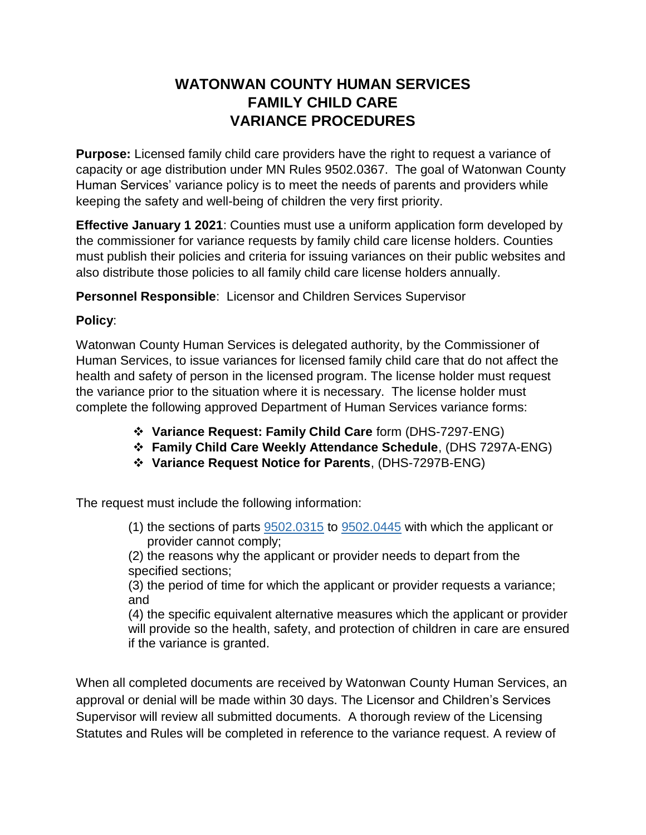## **WATONWAN COUNTY HUMAN SERVICES FAMILY CHILD CARE VARIANCE PROCEDURES**

**Purpose:** Licensed family child care providers have the right to request a variance of capacity or age distribution under MN Rules 9502.0367. The goal of Watonwan County Human Services' variance policy is to meet the needs of parents and providers while keeping the safety and well-being of children the very first priority.

**Effective January 1 2021**: Counties must use a uniform application form developed by the commissioner for variance requests by family child care license holders. Counties must publish their policies and criteria for issuing variances on their public websites and also distribute those policies to all family child care license holders annually.

**Personnel Responsible**: Licensor and Children Services Supervisor

## **Policy**:

Watonwan County Human Services is delegated authority, by the Commissioner of Human Services, to issue variances for licensed family child care that do not affect the health and safety of person in the licensed program. The license holder must request the variance prior to the situation where it is necessary. The license holder must complete the following approved Department of Human Services variance forms:

- **Variance Request: Family Child Care** form (DHS-7297-ENG)
- **Family Child Care Weekly Attendance Schedule**, (DHS 7297A-ENG)
- **Variance Request Notice for Parents**, (DHS-7297B-ENG)

The request must include the following information:

(1) the sections of parts [9502.0315](https://www.revisor.mn.gov/rules/9502.0315) to [9502.0445](https://www.revisor.mn.gov/rules/9502.0445) with which the applicant or provider cannot comply;

(2) the reasons why the applicant or provider needs to depart from the specified sections;

(3) the period of time for which the applicant or provider requests a variance; and

(4) the specific equivalent alternative measures which the applicant or provider will provide so the health, safety, and protection of children in care are ensured if the variance is granted.

When all completed documents are received by Watonwan County Human Services, an approval or denial will be made within 30 days. The Licensor and Children's Services Supervisor will review all submitted documents. A thorough review of the Licensing Statutes and Rules will be completed in reference to the variance request. A review of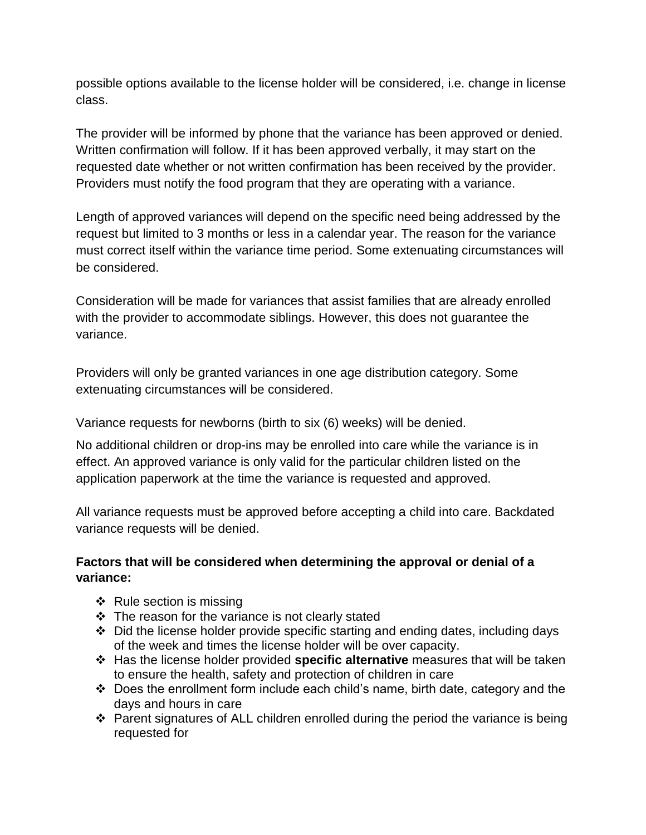possible options available to the license holder will be considered, i.e. change in license class.

The provider will be informed by phone that the variance has been approved or denied. Written confirmation will follow. If it has been approved verbally, it may start on the requested date whether or not written confirmation has been received by the provider. Providers must notify the food program that they are operating with a variance.

Length of approved variances will depend on the specific need being addressed by the request but limited to 3 months or less in a calendar year. The reason for the variance must correct itself within the variance time period. Some extenuating circumstances will be considered.

Consideration will be made for variances that assist families that are already enrolled with the provider to accommodate siblings. However, this does not guarantee the variance.

Providers will only be granted variances in one age distribution category. Some extenuating circumstances will be considered.

Variance requests for newborns (birth to six (6) weeks) will be denied.

No additional children or drop-ins may be enrolled into care while the variance is in effect. An approved variance is only valid for the particular children listed on the application paperwork at the time the variance is requested and approved.

All variance requests must be approved before accepting a child into care. Backdated variance requests will be denied.

## **Factors that will be considered when determining the approval or denial of a variance:**

- $\triangleleft$  Rule section is missing
- $\div$  The reason for the variance is not clearly stated
- $\cdot$  Did the license holder provide specific starting and ending dates, including days of the week and times the license holder will be over capacity.
- Has the license holder provided **specific alternative** measures that will be taken to ensure the health, safety and protection of children in care
- Does the enrollment form include each child's name, birth date, category and the days and hours in care
- Parent signatures of ALL children enrolled during the period the variance is being requested for